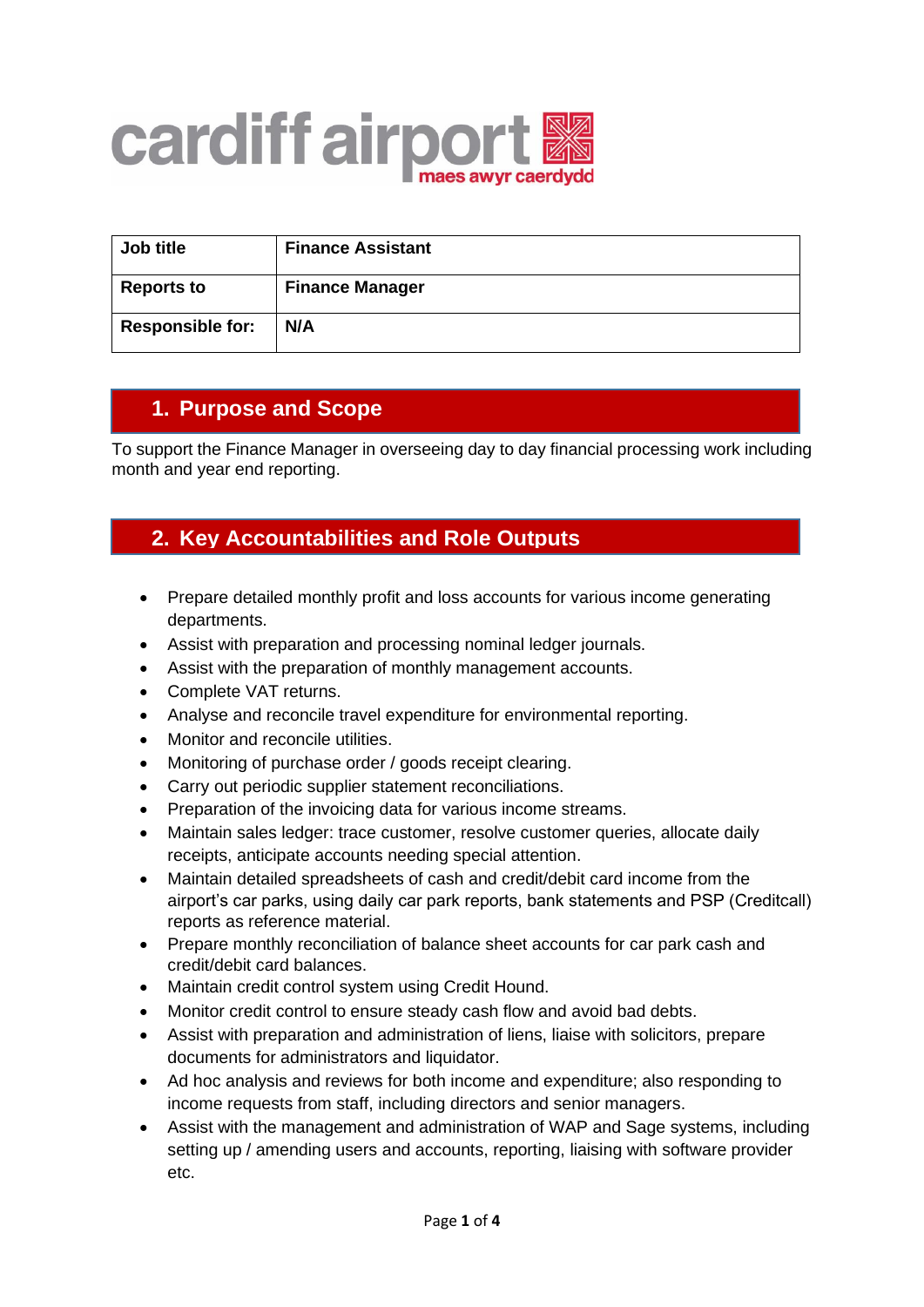

| Job title               | <b>Finance Assistant</b> |
|-------------------------|--------------------------|
| <b>Reports to</b>       | <b>Finance Manager</b>   |
| <b>Responsible for:</b> | N/A                      |

## **1. Purpose and Scope**

To support the Finance Manager in overseeing day to day financial processing work including month and year end reporting.

## **2. Key Accountabilities and Role Outputs**

- Prepare detailed monthly profit and loss accounts for various income generating departments.
- Assist with preparation and processing nominal ledger journals.
- Assist with the preparation of monthly management accounts.
- Complete VAT returns.
- Analyse and reconcile travel expenditure for environmental reporting.
- Monitor and reconcile utilities.
- Monitoring of purchase order / goods receipt clearing.
- Carry out periodic supplier statement reconciliations.
- Preparation of the invoicing data for various income streams.
- Maintain sales ledger: trace customer, resolve customer queries, allocate daily receipts, anticipate accounts needing special attention.
- Maintain detailed spreadsheets of cash and credit/debit card income from the airport's car parks, using daily car park reports, bank statements and PSP (Creditcall) reports as reference material.
- Prepare monthly reconciliation of balance sheet accounts for car park cash and credit/debit card balances.
- Maintain credit control system using Credit Hound.
- Monitor credit control to ensure steady cash flow and avoid bad debts.
- Assist with preparation and administration of liens, liaise with solicitors, prepare documents for administrators and liquidator.
- Ad hoc analysis and reviews for both income and expenditure; also responding to income requests from staff, including directors and senior managers.
- Assist with the management and administration of WAP and Sage systems, including setting up / amending users and accounts, reporting, liaising with software provider etc.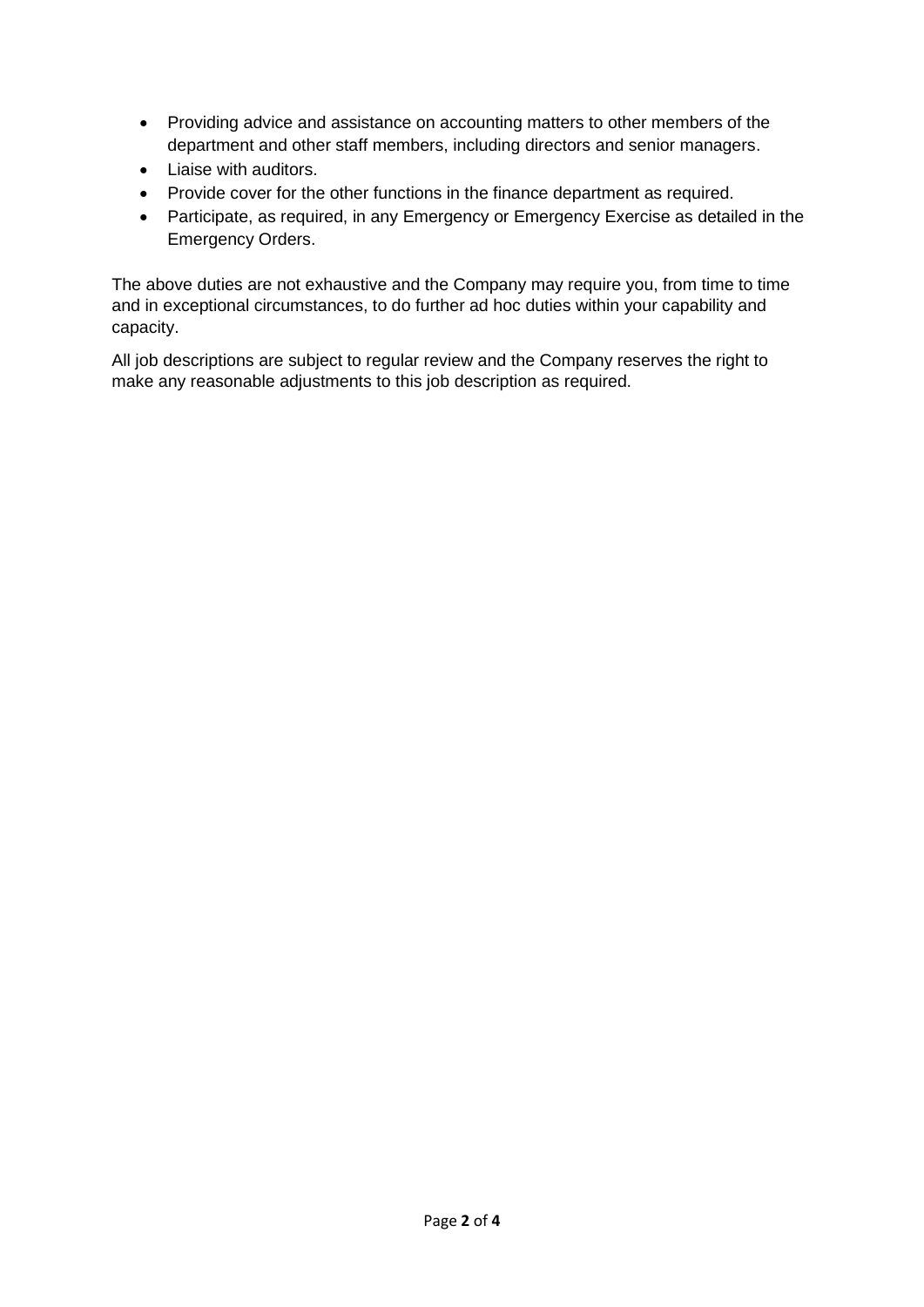- Providing advice and assistance on accounting matters to other members of the department and other staff members, including directors and senior managers.
- Liaise with auditors.
- Provide cover for the other functions in the finance department as required.
- Participate, as required, in any Emergency or Emergency Exercise as detailed in the Emergency Orders.

The above duties are not exhaustive and the Company may require you, from time to time and in exceptional circumstances, to do further ad hoc duties within your capability and capacity.

All job descriptions are subject to regular review and the Company reserves the right to make any reasonable adjustments to this job description as required.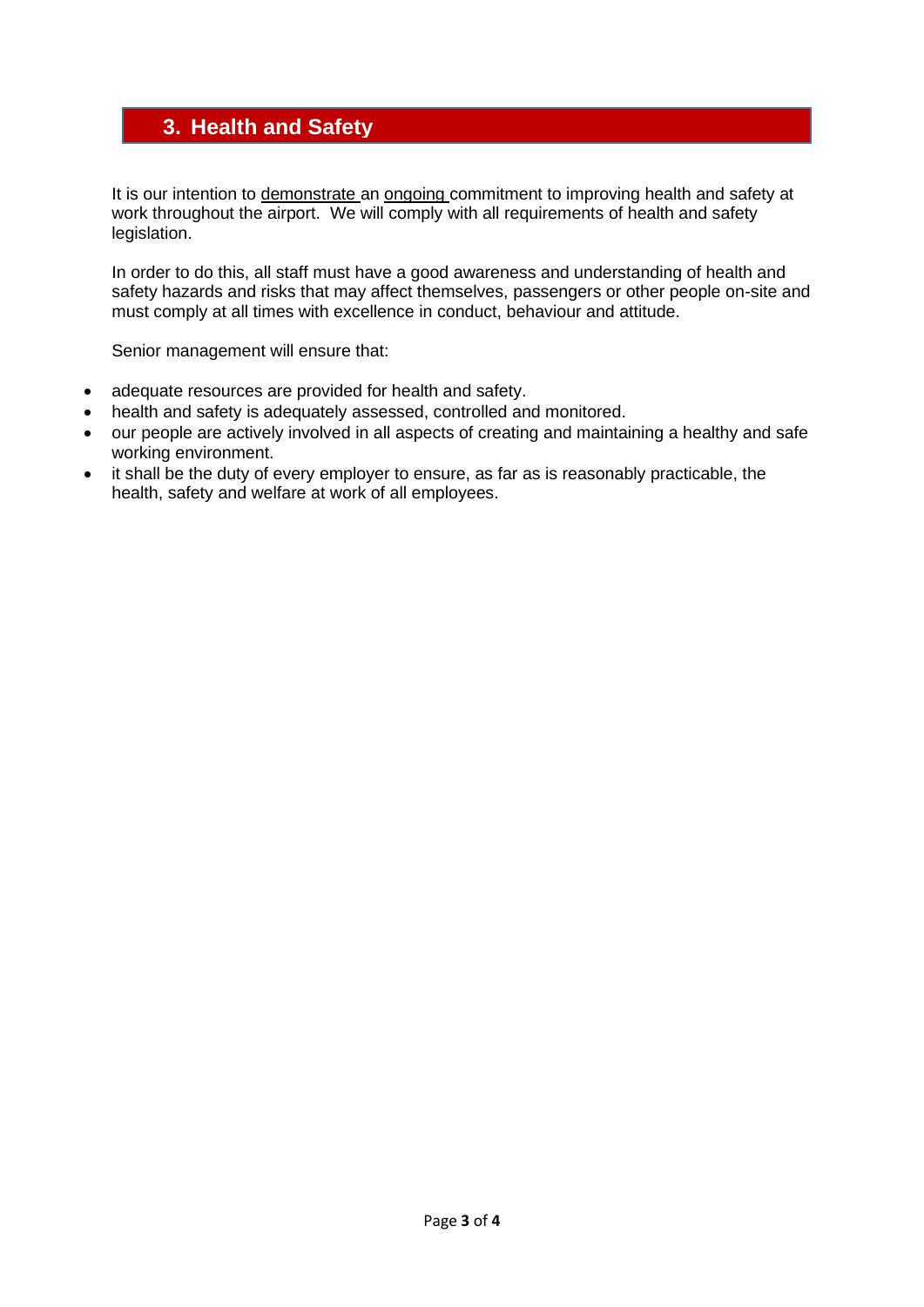## **3. Health and Safety**

It is our intention to demonstrate an ongoing commitment to improving health and safety at work throughout the airport. We will comply with all requirements of health and safety legislation.

In order to do this, all staff must have a good awareness and understanding of health and safety hazards and risks that may affect themselves, passengers or other people on-site and must comply at all times with excellence in conduct, behaviour and attitude.

Senior management will ensure that:

- adequate resources are provided for health and safety.
- health and safety is adequately assessed, controlled and monitored.
- our people are actively involved in all aspects of creating and maintaining a healthy and safe working environment.
- it shall be the duty of every employer to ensure, as far as is reasonably practicable, the health, safety and welfare at work of all employees.